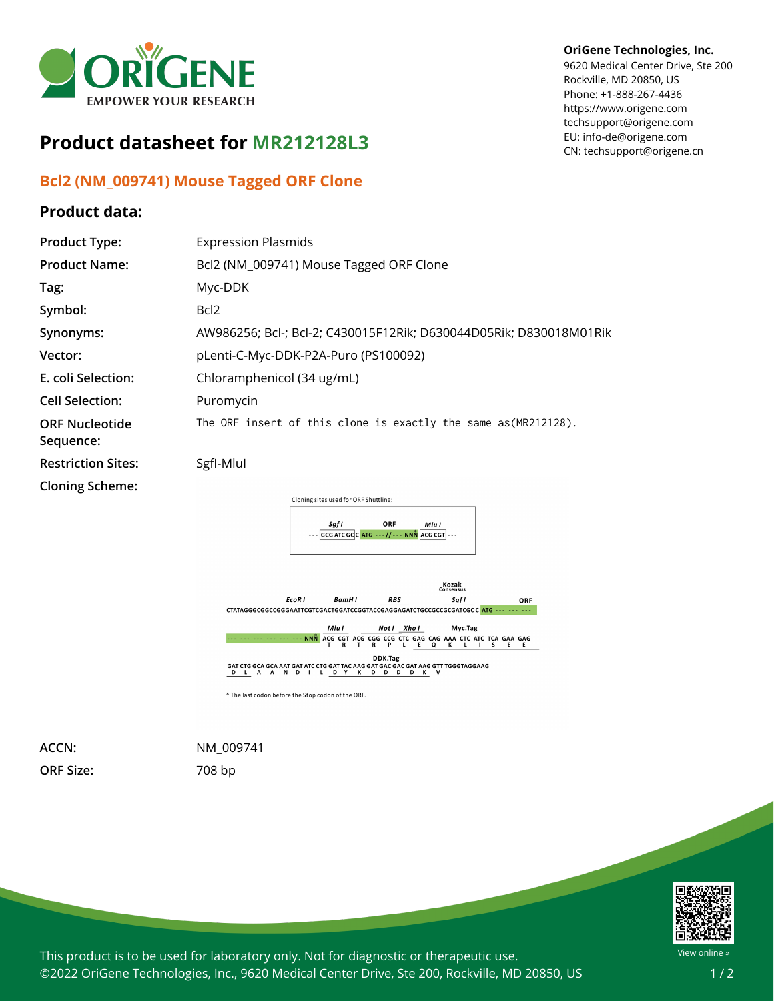

## **Product datasheet for MR212128L3**

## **Bcl2 (NM\_009741) Mouse Tagged ORF Clone**

## **Product data:**

## **OriGene Technologies, Inc.**

9620 Medical Center Drive, Ste 200 Rockville, MD 20850, US Phone: +1-888-267-4436 https://www.origene.com techsupport@origene.com EU: info-de@origene.com CN: techsupport@origene.cn

| <b>Product Type:</b>               | <b>Expression Plasmids</b>                                           |
|------------------------------------|----------------------------------------------------------------------|
| <b>Product Name:</b>               | Bcl2 (NM_009741) Mouse Tagged ORF Clone                              |
| Tag:                               | Myc-DDK                                                              |
| Symbol:                            | Bcl <sub>2</sub>                                                     |
| Synonyms:                          | AW986256; Bcl-; Bcl-2; C430015F12Rik; D630044D05Rik; D830018M01Rik   |
| Vector:                            | pLenti-C-Myc-DDK-P2A-Puro (PS100092)                                 |
| E. coli Selection:                 | Chloramphenicol (34 ug/mL)                                           |
| <b>Cell Selection:</b>             | Puromycin                                                            |
| <b>ORF Nucleotide</b><br>Sequence: | The ORF insert of this clone is exactly the same as (MR212128).      |
| <b>Restriction Sites:</b>          | SgfI-Mlul                                                            |
| <b>Cloning Scheme:</b>             |                                                                      |
|                                    | Cloning sites used for ORF Shuttling:                                |
|                                    | ORF<br>Saf I<br>Mlu I<br>$ GCG ATCGC CATG---//---NNN$ ACG CGT $ ---$ |



**ORF Size:** 708 bp

**ACCN:** NM\_009741



This product is to be used for laboratory only. Not for diagnostic or therapeutic use. ©2022 OriGene Technologies, Inc., 9620 Medical Center Drive, Ste 200, Rockville, MD 20850, US